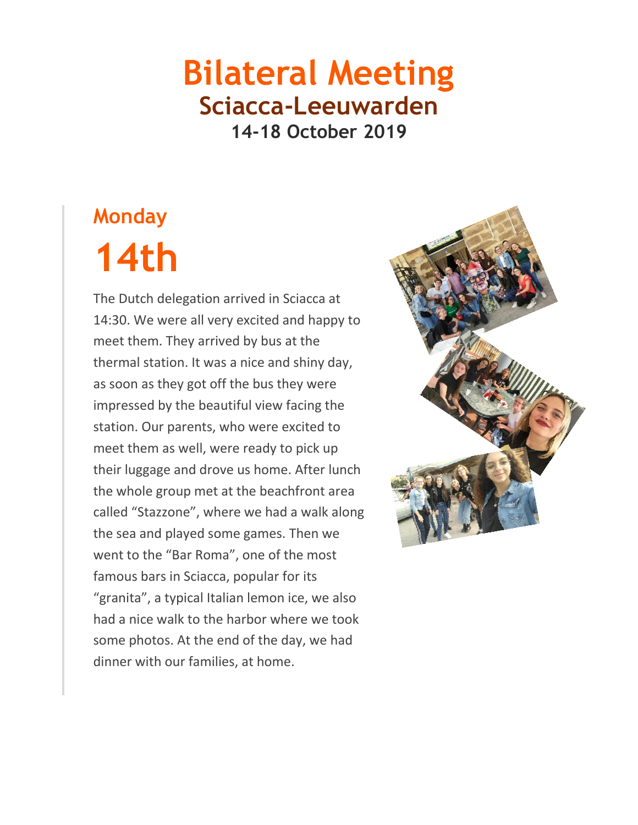#### **Bilateral Meeting Sciacca-Leeuwarden 14-18 October 2019**

# **Monday 14th**

The Dutch delegation arrived in Sciacca at 14:30. We were all very excited and happy to meet them. They arrived by bus at the thermal station. It was a nice and shiny day, as soon as they got off the bus they were impressed by the beautiful view facing the station. Our parents, who were excited to meet them as well, were ready to pick up their luggage and drove us home. After lunch the whole group met at the beachfront area called "Stazzone", where we had a walk along the sea and played some games. Then we went to the "Bar Roma", one of the most famous bars in Sciacca, popular for its "granita", a typical Italian lemon ice, we also had a nice walk to the harbor where we took some photos. At the end of the day, we had dinner with our families, at home.

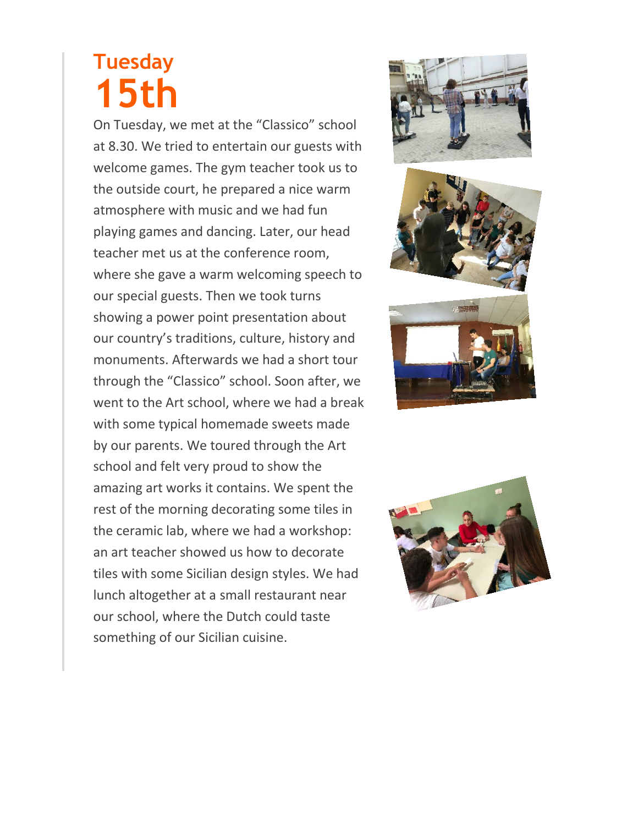## **Tuesday 15th**

On Tuesday, we met at the "Classico" school at 8.30. We tried to entertain our guests with welcome games. The gym teacher took us to the outside court, he prepared a nice warm atmosphere with music and we had fun playing games and dancing. Later, our head teacher met us at the conference room, where she gave a warm welcoming speech to our special guests. Then we took turns showing a power point presentation about our country's traditions, culture, history and monuments. Afterwards we had a short tour through the "Classico" school. Soon after, we went to the Art school, where we had a break with some typical homemade sweets made by our parents. We toured through the Art school and felt very proud to show the amazing art works it contains. We spent the rest of the morning decorating some tiles in the ceramic lab, where we had a workshop: an art teacher showed us how to decorate tiles with some Sicilian design styles. We had lunch altogether at a small restaurant near our school, where the Dutch could taste something of our Sicilian cuisine.







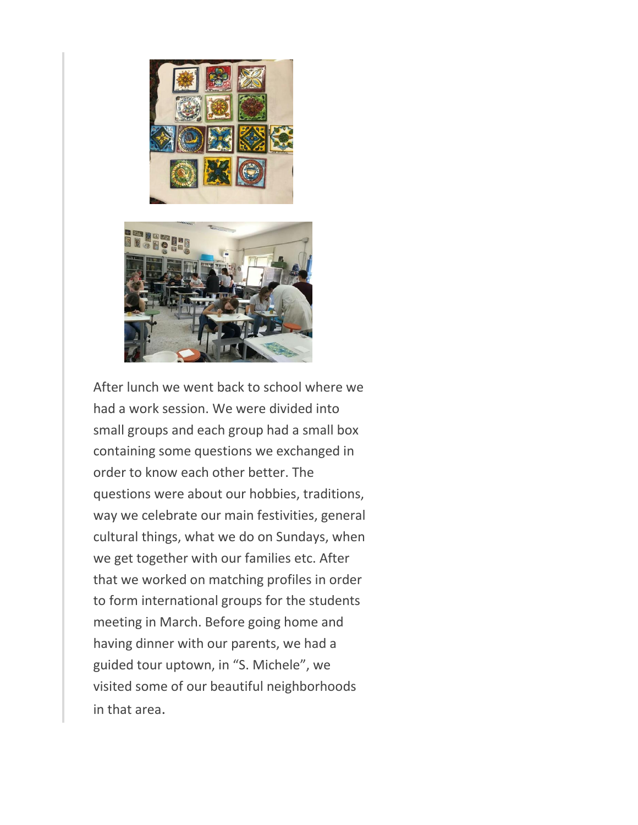



After lunch we went back to school where we had a work session. We were divided into small groups and each group had a small box containing some questions we exchanged in order to know each other better. The questions were about our hobbies, traditions, way we celebrate our main festivities, general cultural things, what we do on Sundays, when we get together with our families etc. After that we worked on matching profiles in order to form international groups for the students meeting in March. Before going home and having dinner with our parents, we had a guided tour uptown, in "S. Michele", we visited some of our beautiful neighborhoods in that area.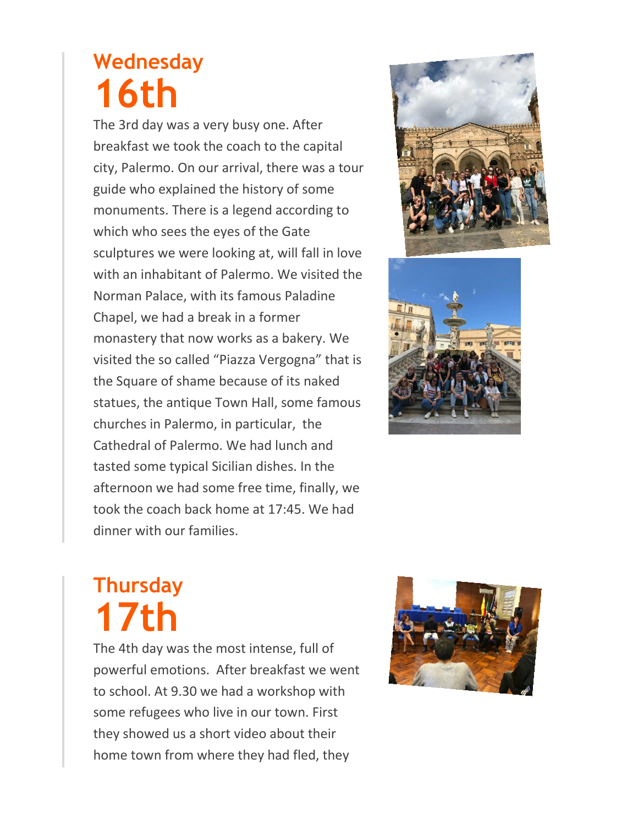## **Wednesday 16th**

The 3rd day was a very busy one. After breakfast we took the coach to the capital city, Palermo. On our arrival, there was a tour guide who explained the history of some monuments. There is a legend according to which who sees the eyes of the Gate sculptures we were looking at, will fall in love with an inhabitant of Palermo. We visited the Norman Palace, with its famous Paladine Chapel, we had a break in a former monastery that now works as a bakery. We visited the so called "Piazza Vergogna" that is the Square of shame because of its naked statues, the antique Town Hall, some famous churches in Palermo, in particular, the Cathedral of Palermo. We had lunch and tasted some typical Sicilian dishes. In the afternoon we had some free time, finally, we took the coach back home at 17:45. We had dinner with our families.





#### **Thursday 17th**

The 4th day was the most intense, full of powerful emotions. After breakfast we went to school. At 9.30 we had a workshop with some refugees who live in our town. First they showed us a short video about their home town from where they had fled, they

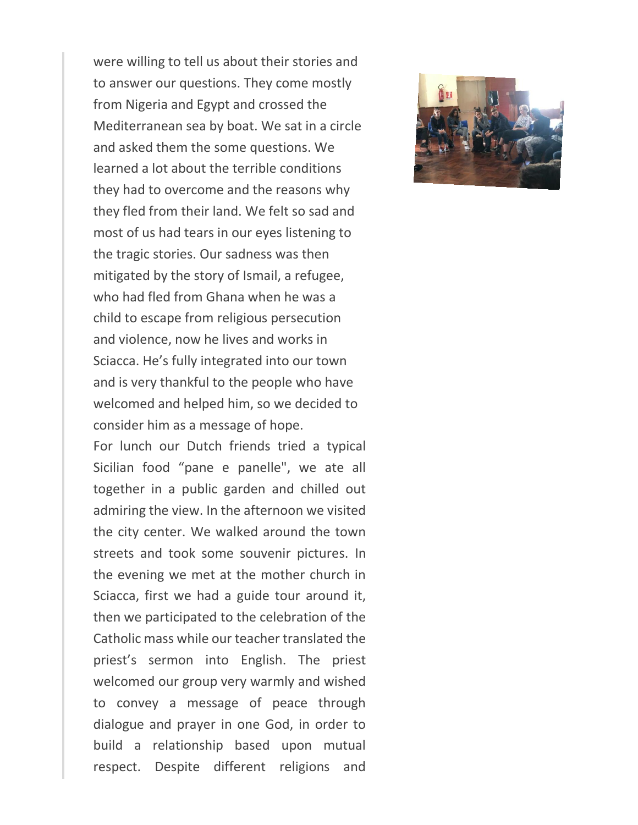were willing to tell us about their stories and to answer our questions. They come mostly from Nigeria and Egypt and crossed the Mediterranean sea by boat. We sat in a circle and asked them the some questions. We learned a lot about the terrible conditions they had to overcome and the reasons why they fled from their land. We felt so sad and most of us had tears in our eyes listening to the tragic stories. Our sadness was then mitigated by the story of Ismail, a refugee, who had fled from Ghana when he was a child to escape from religious persecution and violence, now he lives and works in Sciacca. He's fully integrated into our town and is very thankful to the people who have welcomed and helped him, so we decided to consider him as a message of hope.

For lunch our Dutch friends tried a typical Sicilian food "pane e panelle", we ate all together in a public garden and chilled out admiring the view. In the afternoon we visited the city center. We walked around the town streets and took some souvenir pictures. In the evening we met at the mother church in Sciacca, first we had a guide tour around it, then we participated to the celebration of the Catholic mass while our teacher translated the priest's sermon into English. The priest welcomed our group very warmly and wished to convey a message of peace through dialogue and prayer in one God, in order to build a relationship based upon mutual respect. Despite different religions and

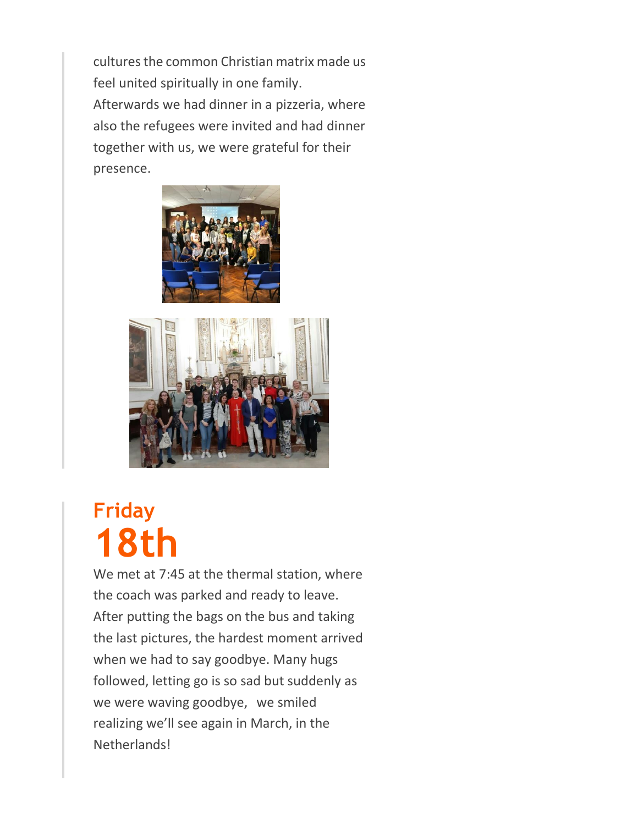cultures the common Christian matrix made us feel united spiritually in one family. Afterwards we had dinner in a pizzeria, where also the refugees were invited and had dinner together with us, we were grateful for their presence.





## **Friday 18th**

We met at 7:45 at the thermal station, where the coach was parked and ready to leave. After putting the bags on the bus and taking the last pictures, the hardest moment arrived when we had to say goodbye. Many hugs followed, letting go is so sad but suddenly as we were waving goodbye, we smiled realizing we'll see again in March, in the Netherlands!